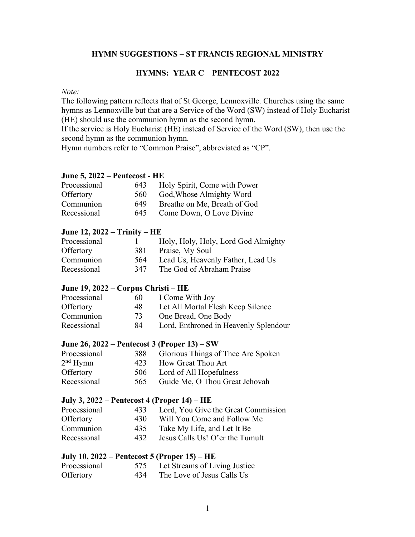#### **HYMN SUGGESTIONS – ST FRANCIS REGIONAL MINISTRY**

#### **HYMNS: YEAR C PENTECOST 2022**

#### *Note:*

The following pattern reflects that of St George, Lennoxville. Churches using the same hymns as Lennoxville but that are a Service of the Word (SW) instead of Holy Eucharist (HE) should use the communion hymn as the second hymn.

If the service is Holy Eucharist (HE) instead of Service of the Word (SW), then use the second hymn as the communion hymn.

Hymn numbers refer to "Common Praise", abbreviated as "CP".

#### **June 5, 2022 – Pentecost - HE**

| Processional | 643 | Holy Spirit, Come with Power |
|--------------|-----|------------------------------|
| Offertory    | 560 | God, Whose Almighty Word     |
| Communion    | 649 | Breathe on Me, Breath of God |
| Recessional  | 645 | Come Down, O Love Divine     |

#### **June 12, 2022 – Trinity – HE**

| Processional |     | Holy, Holy, Holy, Lord God Almighty |
|--------------|-----|-------------------------------------|
| Offertory    | 381 | Praise, My Soul                     |
| Communion    | 564 | Lead Us, Heavenly Father, Lead Us   |
| Recessional  | 347 | The God of Abraham Praise           |

#### **June 19, 2022 – Corpus Christi – HE**

| Processional | -60 | I Come With Joy                       |
|--------------|-----|---------------------------------------|
| Offertory    | 48  | Let All Mortal Flesh Keep Silence     |
| Communion    | 73  | One Bread, One Body                   |
| Recessional  | 84  | Lord, Enthroned in Heavenly Splendour |

#### **June 26, 2022 – Pentecost 3 (Proper 13) – SW**

| Processional         | 388 | Glorious Things of Thee Are Spoken |
|----------------------|-----|------------------------------------|
| 2 <sup>nd</sup> Hymn | 423 | How Great Thou Art                 |
| Offertory            | 506 | Lord of All Hopefulness            |
| Recessional          | 565 | Guide Me, O Thou Great Jehovah     |

#### **July 3, 2022 – Pentecost 4 (Proper 14) – HE**

| Processional | 433  | Lord, You Give the Great Commission |
|--------------|------|-------------------------------------|
| Offertory    | 430  | Will You Come and Follow Me         |
| Communion    | 435  | Take My Life, and Let It Be         |
| Recessional  | 432. | Jesus Calls Us! O'er the Tumult     |

#### **July 10, 2022 – Pentecost 5 (Proper 15) – HE**

| Processional | 575 | Let Streams of Living Justice |
|--------------|-----|-------------------------------|
| Offertory    | 434 | The Love of Jesus Calls Us    |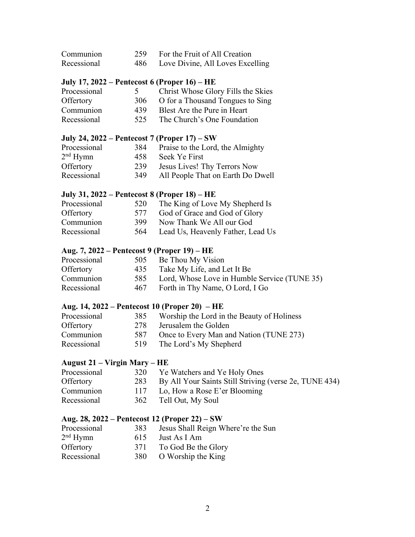| Communion   | 259 For the Fruit of All Creation    |
|-------------|--------------------------------------|
| Recessional | 486 Love Divine, All Loves Excelling |

### **July 17, 2022 – Pentecost 6 (Proper 16) – HE**

| Processional |      | Christ Whose Glory Fills the Skies |
|--------------|------|------------------------------------|
| Offertory    | 306  | O for a Thousand Tongues to Sing   |
| Communion    | 439  | Blest Are the Pure in Heart        |
| Recessional  | 525. | The Church's One Foundation        |

### **July 24, 2022 – Pentecost 7 (Proper 17) – SW**

| 384  | Praise to the Lord, the Almighty  |
|------|-----------------------------------|
| 458. | Seek Ye First                     |
| 239  | Jesus Lives! Thy Terrors Now      |
| 349  | All People That on Earth Do Dwell |
|      |                                   |

### **July 31, 2022 – Pentecost 8 (Proper 18) – HE**

| Processional | 520 | The King of Love My Shepherd Is   |
|--------------|-----|-----------------------------------|
| Offertory    | 577 | God of Grace and God of Glory     |
| Communion    | 399 | Now Thank We All our God          |
| Recessional  | 564 | Lead Us, Heavenly Father, Lead Us |

### **Aug. 7, 2022 – Pentecost 9 (Proper 19) – HE**

| Processional | 505 | Be Thou My Vision                                |
|--------------|-----|--------------------------------------------------|
| Offertory    | 435 | Take My Life, and Let It Be                      |
| Communion    |     | 585 Lord, Whose Love in Humble Service (TUNE 35) |
| Recessional  | 467 | Forth in Thy Name, O Lord, I Go                  |

#### **Aug. 14, 2022 – Pentecost 10 (Proper 20) – HE**

| Processional | 385 | Worship the Lord in the Beauty of Holiness |
|--------------|-----|--------------------------------------------|
| Offertory    | 278 | Jerusalem the Golden                       |
| Communion    | 587 | Once to Every Man and Nation (TUNE 273)    |
| Recessional  | 519 | The Lord's My Shepherd                     |

### **August 21 – Virgin Mary – HE**

| Ye Watchers and Ye Holy Ones<br>320                        |
|------------------------------------------------------------|
| 283 By All Your Saints Still Striving (verse 2e, TUNE 434) |
| Lo, How a Rose E'er Blooming                               |
| 362 Tell Out, My Soul                                      |
|                                                            |

### **Aug. 28, 2022 – Pentecost 12 (Proper 22) – SW**

| Processional         | 383 | Jesus Shall Reign Where're the Sun |
|----------------------|-----|------------------------------------|
| 2 <sup>nd</sup> Hymn | 615 | Just As I Am                       |
| Offertory            | 371 | To God Be the Glory                |
| Recessional          | 380 | O Worship the King                 |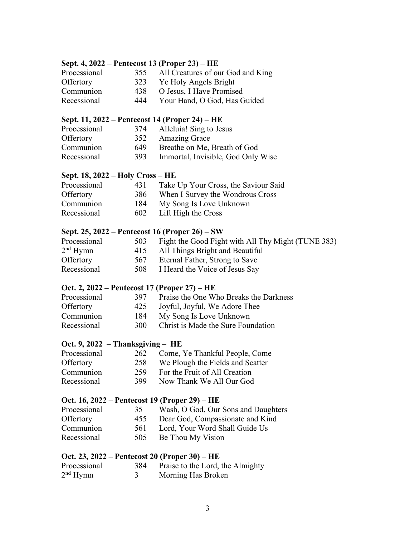### **Sept. 4, 2022 – Pentecost 13 (Proper 23) – HE**

| Processional | 355 | All Creatures of our God and King |
|--------------|-----|-----------------------------------|
| Offertory    | 323 | Ye Holy Angels Bright             |
| Communion    | 438 | O Jesus, I Have Promised          |
| Recessional  | 444 | Your Hand, O God, Has Guided      |

### **Sept. 11, 2022 – Pentecost 14 (Proper 24) – HE**

| Processional | 374 | Alleluia! Sing to Jesus            |
|--------------|-----|------------------------------------|
| Offertory    |     | 352 Amazing Grace                  |
| Communion    | 649 | Breathe on Me, Breath of God       |
| Recessional  | 393 | Immortal, Invisible, God Only Wise |

### **Sept. 18, 2022 – Holy Cross – HE**

| Processional | 431 | Take Up Your Cross, the Saviour Said |
|--------------|-----|--------------------------------------|
| Offertory    | 386 | When I Survey the Wondrous Cross     |
| Communion    | 184 | My Song Is Love Unknown              |
| Recessional  | 602 | Lift High the Cross                  |

## **Sept. 25, 2022 – Pentecost 16 (Proper 26) – SW**

| Processional<br>503         | Fight the Good Fight with All Thy Might (TUNE 383) |
|-----------------------------|----------------------------------------------------|
| 2 <sup>nd</sup> Hymn<br>415 | All Things Bright and Beautiful                    |
| Offertory<br>567            | Eternal Father, Strong to Save                     |
| Recessional<br>508          | I Heard the Voice of Jesus Say                     |

### **Oct. 2, 2022 – Pentecost 17 (Proper 27) – HE**

| Processional | 397  | Praise the One Who Breaks the Darkness |
|--------------|------|----------------------------------------|
| Offertory    | 425  | Joyful, Joyful, We Adore Thee          |
| Communion    | 184  | My Song Is Love Unknown                |
| Recessional  | 300- | Christ is Made the Sure Foundation     |

## **Oct. 9, 2022 – Thanksgiving – HE**

| Processional | 262 | Come, Ye Thankful People, Come   |
|--------------|-----|----------------------------------|
| Offertory    | 258 | We Plough the Fields and Scatter |
| Communion    | 259 | For the Fruit of All Creation    |
| Recessional  | 399 | Now Thank We All Our God         |

### **Oct. 16, 2022 – Pentecost 19 (Proper 29) – HE**

| Processional | 35  | Wash, O God, Our Sons and Daughters |
|--------------|-----|-------------------------------------|
| Offertory    | 455 | Dear God, Compassionate and Kind    |
| Communion    | 561 | Lord, Your Word Shall Guide Us      |
| Recessional  | 505 | Be Thou My Vision                   |

### **Oct. 23, 2022 – Pentecost 20 (Proper 30) – HE**

| Processional         | 384 | Praise to the Lord, the Almighty |
|----------------------|-----|----------------------------------|
| 2 <sup>nd</sup> Hymn |     | Morning Has Broken               |